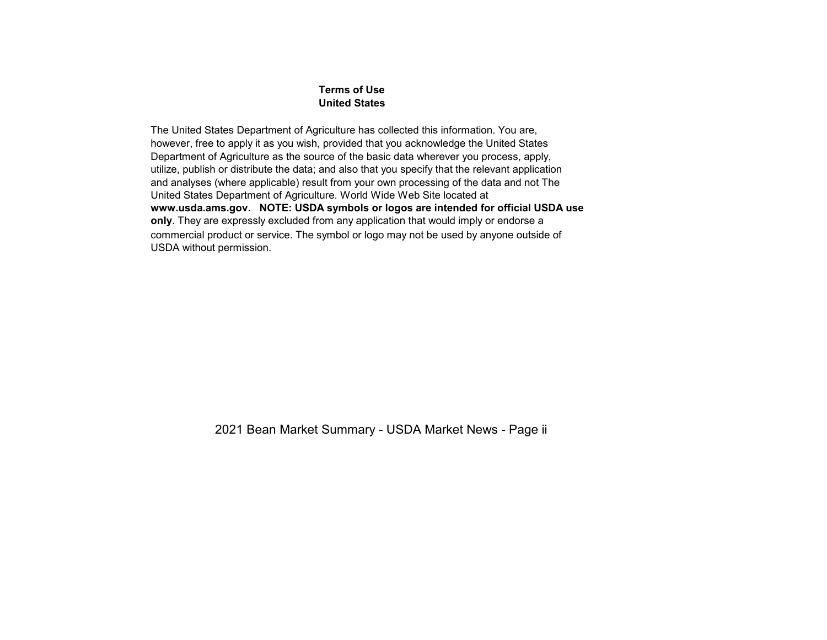#### **Terms of Use United States**

The United States Department of Agriculture has collected this information. You are, however, free to apply it as you wish, provided that you acknowledge the United States Department of Agriculture as the source of the basic data wherever you process, apply, utilize, publish or distribute the data; and also that you specify that the relevant application and analyses (where applicable) result from your own processing of the data and not The United States Department of Agriculture. World Wide Web Site located at **www.usda.ams.gov. NOTE: USDA symbols or logos are intended for official USDA use only**. They are expressly excluded from any application that would imply or endorse a commercial product or service. The symbol or logo may not be used by anyone outside of USDA without permission.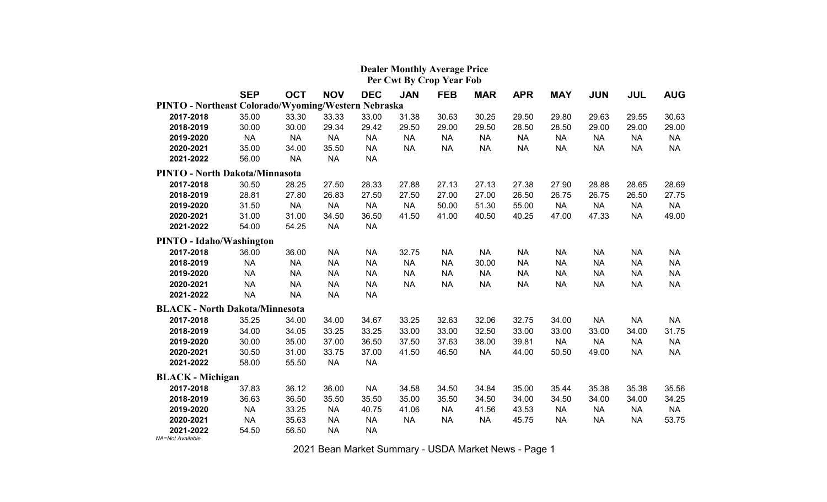|                                                     |            |            |            |            | <b>Dealer Monthly Average Price</b><br>Per Cwt By Crop Year Fob |            |            |            |            |            |            |            |
|-----------------------------------------------------|------------|------------|------------|------------|-----------------------------------------------------------------|------------|------------|------------|------------|------------|------------|------------|
|                                                     | <b>SEP</b> | <b>OCT</b> | <b>NOV</b> | <b>DEC</b> | <b>JAN</b>                                                      | <b>FEB</b> | <b>MAR</b> | <b>APR</b> | <b>MAY</b> | <b>JUN</b> | <b>JUL</b> | <b>AUG</b> |
| PINTO - Northeast Colorado/Wyoming/Western Nebraska |            |            |            |            |                                                                 |            |            |            |            |            |            |            |
| 2017-2018                                           | 35.00      | 33.30      | 33.33      | 33.00      | 31.38                                                           | 30.63      | 30.25      | 29.50      | 29.80      | 29.63      | 29.55      | 30.63      |
| 2018-2019                                           | 30.00      | 30.00      | 29.34      | 29.42      | 29.50                                                           | 29.00      | 29.50      | 28.50      | 28.50      | 29.00      | 29.00      | 29.00      |
| 2019-2020                                           | <b>NA</b>  | <b>NA</b>  | <b>NA</b>  | <b>NA</b>  | <b>NA</b>                                                       | <b>NA</b>  | <b>NA</b>  | <b>NA</b>  | <b>NA</b>  | <b>NA</b>  | <b>NA</b>  | <b>NA</b>  |
| 2020-2021                                           | 35.00      | 34.00      | 35.50      | <b>NA</b>  | <b>NA</b>                                                       | <b>NA</b>  | <b>NA</b>  | <b>NA</b>  | <b>NA</b>  | <b>NA</b>  | <b>NA</b>  | <b>NA</b>  |
| 2021-2022                                           | 56.00      | <b>NA</b>  | <b>NA</b>  | <b>NA</b>  |                                                                 |            |            |            |            |            |            |            |
| <b>PINTO - North Dakota/Minnasota</b>               |            |            |            |            |                                                                 |            |            |            |            |            |            |            |
| 2017-2018                                           | 30.50      | 28.25      | 27.50      | 28.33      | 27.88                                                           | 27.13      | 27.13      | 27.38      | 27.90      | 28.88      | 28.65      | 28.69      |
| 2018-2019                                           | 28.81      | 27.80      | 26.83      | 27.50      | 27.50                                                           | 27.00      | 27.00      | 26.50      | 26.75      | 26.75      | 26.50      | 27.75      |
| 2019-2020                                           | 31.50      | <b>NA</b>  | <b>NA</b>  | <b>NA</b>  | <b>NA</b>                                                       | 50.00      | 51.30      | 55.00      | <b>NA</b>  | <b>NA</b>  | <b>NA</b>  | <b>NA</b>  |
| 2020-2021                                           | 31.00      | 31.00      | 34.50      | 36.50      | 41.50                                                           | 41.00      | 40.50      | 40.25      | 47.00      | 47.33      | <b>NA</b>  | 49.00      |
| 2021-2022                                           | 54.00      | 54.25      | <b>NA</b>  | <b>NA</b>  |                                                                 |            |            |            |            |            |            |            |
| <b>PINTO - Idaho/Washington</b>                     |            |            |            |            |                                                                 |            |            |            |            |            |            |            |
| 2017-2018                                           | 36.00      | 36.00      | <b>NA</b>  | <b>NA</b>  | 32.75                                                           | <b>NA</b>  | <b>NA</b>  | <b>NA</b>  | <b>NA</b>  | <b>NA</b>  | <b>NA</b>  | <b>NA</b>  |
| 2018-2019                                           | <b>NA</b>  | <b>NA</b>  | <b>NA</b>  | <b>NA</b>  | <b>NA</b>                                                       | <b>NA</b>  | 30.00      | <b>NA</b>  | <b>NA</b>  | <b>NA</b>  | <b>NA</b>  | <b>NA</b>  |
| 2019-2020                                           | <b>NA</b>  | <b>NA</b>  | <b>NA</b>  | <b>NA</b>  | <b>NA</b>                                                       | <b>NA</b>  | <b>NA</b>  | <b>NA</b>  | <b>NA</b>  | <b>NA</b>  | <b>NA</b>  | <b>NA</b>  |
| 2020-2021                                           | <b>NA</b>  | <b>NA</b>  | <b>NA</b>  | <b>NA</b>  | <b>NA</b>                                                       | <b>NA</b>  | <b>NA</b>  | <b>NA</b>  | <b>NA</b>  | <b>NA</b>  | <b>NA</b>  | <b>NA</b>  |
| 2021-2022                                           | <b>NA</b>  | <b>NA</b>  | <b>NA</b>  | <b>NA</b>  |                                                                 |            |            |            |            |            |            |            |
| <b>BLACK - North Dakota/Minnesota</b>               |            |            |            |            |                                                                 |            |            |            |            |            |            |            |
| 2017-2018                                           | 35.25      | 34.00      | 34.00      | 34.67      | 33.25                                                           | 32.63      | 32.06      | 32.75      | 34.00      | <b>NA</b>  | <b>NA</b>  | <b>NA</b>  |
| 2018-2019                                           | 34.00      | 34.05      | 33.25      | 33.25      | 33.00                                                           | 33.00      | 32.50      | 33.00      | 33.00      | 33.00      | 34.00      | 31.75      |
| 2019-2020                                           | 30.00      | 35.00      | 37.00      | 36.50      | 37.50                                                           | 37.63      | 38.00      | 39.81      | <b>NA</b>  | <b>NA</b>  | <b>NA</b>  | <b>NA</b>  |
| 2020-2021                                           | 30.50      | 31.00      | 33.75      | 37.00      | 41.50                                                           | 46.50      | <b>NA</b>  | 44.00      | 50.50      | 49.00      | <b>NA</b>  | <b>NA</b>  |
| 2021-2022                                           | 58.00      | 55.50      | <b>NA</b>  | <b>NA</b>  |                                                                 |            |            |            |            |            |            |            |
| <b>BLACK</b> - Michigan                             |            |            |            |            |                                                                 |            |            |            |            |            |            |            |
| 2017-2018                                           | 37.83      | 36.12      | 36.00      | <b>NA</b>  | 34.58                                                           | 34.50      | 34.84      | 35.00      | 35.44      | 35.38      | 35.38      | 35.56      |
| 2018-2019                                           | 36.63      | 36.50      | 35.50      | 35.50      | 35.00                                                           | 35.50      | 34.50      | 34.00      | 34.50      | 34.00      | 34.00      | 34.25      |
| 2019-2020                                           | <b>NA</b>  | 33.25      | <b>NA</b>  | 40.75      | 41.06                                                           | <b>NA</b>  | 41.56      | 43.53      | <b>NA</b>  | <b>NA</b>  | <b>NA</b>  | <b>NA</b>  |
| 2020-2021                                           | <b>NA</b>  | 35.63      | <b>NA</b>  | <b>NA</b>  | <b>NA</b>                                                       | <b>NA</b>  | <b>NA</b>  | 45.75      | <b>NA</b>  | <b>NA</b>  | <b>NA</b>  | 53.75      |
| 2021-2022<br>NA=Not Available                       | 54.50      | 56.50      | <b>NA</b>  | <b>NA</b>  |                                                                 |            |            |            |            |            |            |            |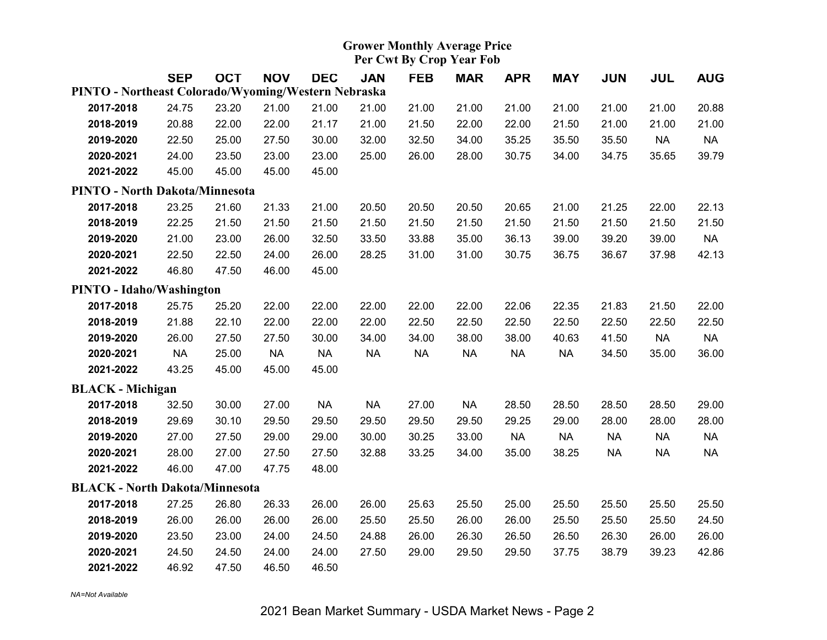#### **Grower Monthly Average Price Per Cwt By Crop Year Fob**

|                                                     | <b>SEP</b> | <b>OCT</b> | <b>NOV</b> | <b>DEC</b> | <b>JAN</b> | <b>FEB</b> | <b>MAR</b> | <b>APR</b> | <b>MAY</b> | <b>JUN</b> | <b>JUL</b> | <b>AUG</b> |
|-----------------------------------------------------|------------|------------|------------|------------|------------|------------|------------|------------|------------|------------|------------|------------|
| PINTO - Northeast Colorado/Wyoming/Western Nebraska |            |            |            |            |            |            |            |            |            |            |            |            |
| 2017-2018                                           | 24.75      | 23.20      | 21.00      | 21.00      | 21.00      | 21.00      | 21.00      | 21.00      | 21.00      | 21.00      | 21.00      | 20.88      |
| 2018-2019                                           | 20.88      | 22.00      | 22.00      | 21.17      | 21.00      | 21.50      | 22.00      | 22.00      | 21.50      | 21.00      | 21.00      | 21.00      |
| 2019-2020                                           | 22.50      | 25.00      | 27.50      | 30.00      | 32.00      | 32.50      | 34.00      | 35.25      | 35.50      | 35.50      | <b>NA</b>  | <b>NA</b>  |
| 2020-2021                                           | 24.00      | 23.50      | 23.00      | 23.00      | 25.00      | 26.00      | 28.00      | 30.75      | 34.00      | 34.75      | 35.65      | 39.79      |
| 2021-2022                                           | 45.00      | 45.00      | 45.00      | 45.00      |            |            |            |            |            |            |            |            |
| <b>PINTO - North Dakota/Minnesota</b>               |            |            |            |            |            |            |            |            |            |            |            |            |
| 2017-2018                                           | 23.25      | 21.60      | 21.33      | 21.00      | 20.50      | 20.50      | 20.50      | 20.65      | 21.00      | 21.25      | 22.00      | 22.13      |
| 2018-2019                                           | 22.25      | 21.50      | 21.50      | 21.50      | 21.50      | 21.50      | 21.50      | 21.50      | 21.50      | 21.50      | 21.50      | 21.50      |
| 2019-2020                                           | 21.00      | 23.00      | 26.00      | 32.50      | 33.50      | 33.88      | 35.00      | 36.13      | 39.00      | 39.20      | 39.00      | <b>NA</b>  |
| 2020-2021                                           | 22.50      | 22.50      | 24.00      | 26.00      | 28.25      | 31.00      | 31.00      | 30.75      | 36.75      | 36.67      | 37.98      | 42.13      |
| 2021-2022                                           | 46.80      | 47.50      | 46.00      | 45.00      |            |            |            |            |            |            |            |            |
| <b>PINTO - Idaho/Washington</b>                     |            |            |            |            |            |            |            |            |            |            |            |            |
| 2017-2018                                           | 25.75      | 25.20      | 22.00      | 22.00      | 22.00      | 22.00      | 22.00      | 22.06      | 22.35      | 21.83      | 21.50      | 22.00      |
| 2018-2019                                           | 21.88      | 22.10      | 22.00      | 22.00      | 22.00      | 22.50      | 22.50      | 22.50      | 22.50      | 22.50      | 22.50      | 22.50      |
| 2019-2020                                           | 26.00      | 27.50      | 27.50      | 30.00      | 34.00      | 34.00      | 38.00      | 38.00      | 40.63      | 41.50      | <b>NA</b>  | <b>NA</b>  |
| 2020-2021                                           | <b>NA</b>  | 25.00      | <b>NA</b>  | <b>NA</b>  | <b>NA</b>  | <b>NA</b>  | <b>NA</b>  | <b>NA</b>  | <b>NA</b>  | 34.50      | 35.00      | 36.00      |
| 2021-2022                                           | 43.25      | 45.00      | 45.00      | 45.00      |            |            |            |            |            |            |            |            |
| <b>BLACK</b> - Michigan                             |            |            |            |            |            |            |            |            |            |            |            |            |
| 2017-2018                                           | 32.50      | 30.00      | 27.00      | <b>NA</b>  | <b>NA</b>  | 27.00      | <b>NA</b>  | 28.50      | 28.50      | 28.50      | 28.50      | 29.00      |
| 2018-2019                                           | 29.69      | 30.10      | 29.50      | 29.50      | 29.50      | 29.50      | 29.50      | 29.25      | 29.00      | 28.00      | 28.00      | 28.00      |
| 2019-2020                                           | 27.00      | 27.50      | 29.00      | 29.00      | 30.00      | 30.25      | 33.00      | <b>NA</b>  | <b>NA</b>  | <b>NA</b>  | <b>NA</b>  | <b>NA</b>  |
| 2020-2021                                           | 28.00      | 27.00      | 27.50      | 27.50      | 32.88      | 33.25      | 34.00      | 35.00      | 38.25      | <b>NA</b>  | <b>NA</b>  | <b>NA</b>  |
| 2021-2022                                           | 46.00      | 47.00      | 47.75      | 48.00      |            |            |            |            |            |            |            |            |
| <b>BLACK - North Dakota/Minnesota</b>               |            |            |            |            |            |            |            |            |            |            |            |            |
| 2017-2018                                           | 27.25      | 26.80      | 26.33      | 26.00      | 26.00      | 25.63      | 25.50      | 25.00      | 25.50      | 25.50      | 25.50      | 25.50      |
| 2018-2019                                           | 26.00      | 26.00      | 26.00      | 26.00      | 25.50      | 25.50      | 26.00      | 26.00      | 25.50      | 25.50      | 25.50      | 24.50      |
| 2019-2020                                           | 23.50      | 23.00      | 24.00      | 24.50      | 24.88      | 26.00      | 26.30      | 26.50      | 26.50      | 26.30      | 26.00      | 26.00      |
| 2020-2021                                           | 24.50      | 24.50      | 24.00      | 24.00      | 27.50      | 29.00      | 29.50      | 29.50      | 37.75      | 38.79      | 39.23      | 42.86      |
| 2021-2022                                           | 46.92      | 47.50      | 46.50      | 46.50      |            |            |            |            |            |            |            |            |

*NA=Not Available*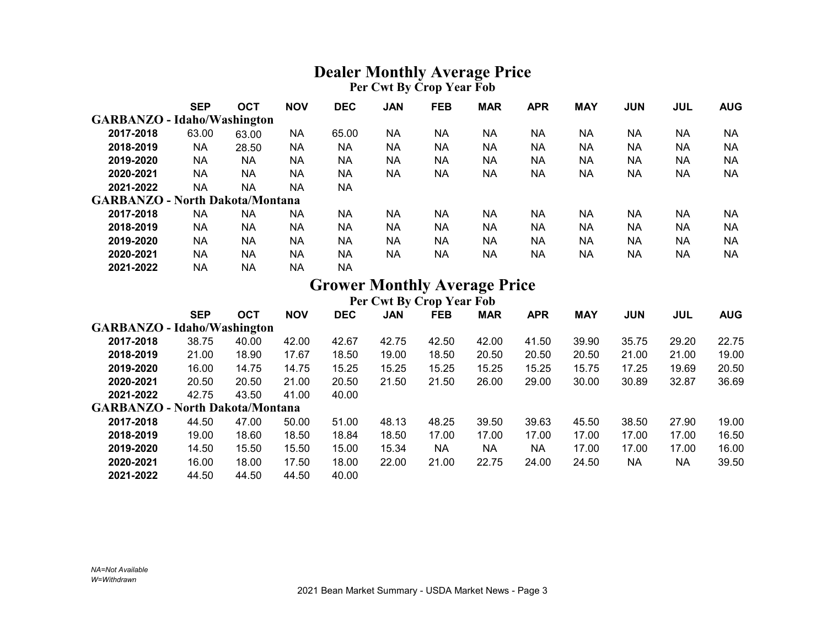#### **Dealer Monthly Average Price Per Cwt By Crop Year Fob**

|                                        | <b>SEP</b> | <b>OCT</b> | <b>NOV</b> | <b>DEC</b> | <b>JAN</b> | <b>FEB</b> | <b>MAR</b> | <b>APR</b> | <b>MAY</b> | <b>JUN</b> | <b>JUL</b> | <b>AUG</b> |
|----------------------------------------|------------|------------|------------|------------|------------|------------|------------|------------|------------|------------|------------|------------|
| <b>GARBANZO - Idaho/Washington</b>     |            |            |            |            |            |            |            |            |            |            |            |            |
| 2017-2018                              | 63.00      | 63.00      | <b>NA</b>  | 65.00      | <b>NA</b>  | <b>NA</b>  | <b>NA</b>  | <b>NA</b>  | <b>NA</b>  | <b>NA</b>  | <b>NA</b>  | NА         |
| 2018-2019                              | <b>NA</b>  | 28.50      | <b>NA</b>  | <b>NA</b>  | <b>NA</b>  | <b>NA</b>  | <b>NA</b>  | <b>NA</b>  | <b>NA</b>  | <b>NA</b>  | <b>NA</b>  | NA         |
| 2019-2020                              | <b>NA</b>  | <b>NA</b>  | <b>NA</b>  | <b>NA</b>  | <b>NA</b>  | <b>NA</b>  | <b>NA</b>  | <b>NA</b>  | <b>NA</b>  | <b>NA</b>  | <b>NA</b>  | NA         |
| 2020-2021                              | <b>NA</b>  | <b>NA</b>  | <b>NA</b>  | <b>NA</b>  | <b>NA</b>  | <b>NA</b>  | <b>NA</b>  | <b>NA</b>  | <b>NA</b>  | <b>NA</b>  | <b>NA</b>  | <b>NA</b>  |
| 2021-2022                              | <b>NA</b>  | <b>NA</b>  | <b>NA</b>  | <b>NA</b>  |            |            |            |            |            |            |            |            |
| <b>GARBANZO - North Dakota/Montana</b> |            |            |            |            |            |            |            |            |            |            |            |            |
| 2017-2018                              | <b>NA</b>  | <b>NA</b>  | <b>NA</b>  | <b>NA</b>  | <b>NA</b>  | <b>NA</b>  | <b>NA</b>  | <b>NA</b>  | <b>NA</b>  | <b>NA</b>  | <b>NA</b>  | NА         |
| 2018-2019                              | <b>NA</b>  | <b>NA</b>  | <b>NA</b>  | <b>NA</b>  | <b>NA</b>  | <b>NA</b>  | <b>NA</b>  | <b>NA</b>  | <b>NA</b>  | <b>NA</b>  | <b>NA</b>  | NA         |
| 2019-2020                              | <b>NA</b>  | <b>NA</b>  | <b>NA</b>  | <b>NA</b>  | <b>NA</b>  | <b>NA</b>  | <b>NA</b>  | <b>NA</b>  | <b>NA</b>  | <b>NA</b>  | <b>NA</b>  | NA         |
| 2020-2021                              | <b>NA</b>  | <b>NA</b>  | <b>NA</b>  | <b>NA</b>  | <b>NA</b>  | <b>NA</b>  | <b>NA</b>  | <b>NA</b>  | <b>NA</b>  | <b>NA</b>  | <b>NA</b>  | NA         |
| 2021-2022                              | <b>NA</b>  | <b>NA</b>  | <b>NA</b>  | <b>NA</b>  |            |            |            |            |            |            |            |            |

#### **Grower Monthly Average Price**

**Per Cwt By Crop Year Fob**

| <b>SEP</b> | <b>OCT</b> | <b>NOV</b> | <b>DEC</b>                                                                   | <b>JAN</b> | <b>FEB</b> | <b>MAR</b> | <b>APR</b> | <b>MAY</b> | <b>JUN</b> | JUL       | <b>AUG</b> |  |
|------------|------------|------------|------------------------------------------------------------------------------|------------|------------|------------|------------|------------|------------|-----------|------------|--|
|            |            |            |                                                                              |            |            |            |            |            |            |           |            |  |
| 38.75      | 40.00      | 42.00      | 42.67                                                                        | 42.75      | 42.50      | 42.00      | 41.50      | 39.90      | 35.75      | 29.20     | 22.75      |  |
| 21.00      | 18.90      | 17.67      | 18.50                                                                        | 19.00      | 18.50      | 20.50      | 20.50      | 20.50      | 21.00      | 21.00     | 19.00      |  |
| 16.00      | 14.75      | 14.75      | 15.25                                                                        | 15.25      | 15.25      | 15.25      | 15.25      | 15.75      | 17.25      | 19.69     | 20.50      |  |
| 20.50      | 20.50      | 21.00      | 20.50                                                                        | 21.50      | 21.50      | 26.00      | 29.00      | 30.00      | 30.89      | 32.87     | 36.69      |  |
| 42.75      | 43.50      | 41.00      | 40.00                                                                        |            |            |            |            |            |            |           |            |  |
|            |            |            |                                                                              |            |            |            |            |            |            |           |            |  |
| 44.50      | 47.00      | 50.00      | 51.00                                                                        | 48.13      | 48.25      | 39.50      | 39.63      | 45.50      | 38.50      | 27.90     | 19.00      |  |
| 19.00      | 18.60      | 18.50      | 18.84                                                                        | 18.50      | 17.00      | 17.00      | 17.00      | 17.00      | 17.00      | 17.00     | 16.50      |  |
| 14.50      | 15.50      | 15.50      | 15.00                                                                        | 15.34      | <b>NA</b>  | NA         | <b>NA</b>  | 17.00      | 17.00      | 17.00     | 16.00      |  |
| 16.00      | 18.00      | 17.50      | 18.00                                                                        | 22.00      | 21.00      | 22.75      | 24.00      | 24.50      | <b>NA</b>  | <b>NA</b> | 39.50      |  |
| 44.50      | 44.50      | 44.50      | 40.00                                                                        |            |            |            |            |            |            |           |            |  |
|            |            |            | <b>GARBANZO - Idaho/Washington</b><br><b>GARBANZO - North Dakota/Montana</b> |            |            |            |            |            |            |           |            |  |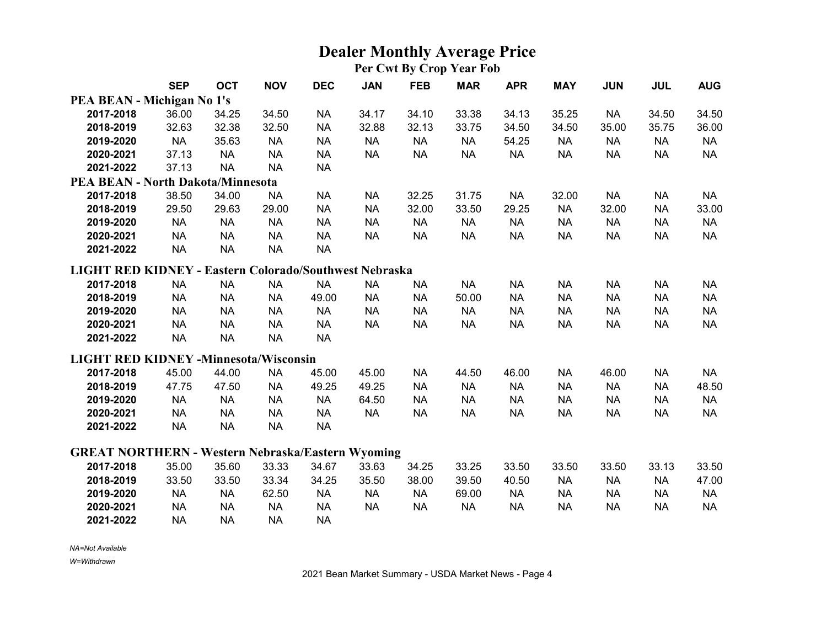## **Dealer Monthly Average Price**

**Per Cwt By Crop Year Fob**

|                                                               | <b>SEP</b> | <b>OCT</b> | <b>NOV</b> | <b>DEC</b> | <b>JAN</b> | <b>FEB</b> | <b>MAR</b> | <b>APR</b> | <b>MAY</b> | <b>JUN</b> | <b>JUL</b> | <b>AUG</b> |
|---------------------------------------------------------------|------------|------------|------------|------------|------------|------------|------------|------------|------------|------------|------------|------------|
| PEA BEAN - Michigan No 1's                                    |            |            |            |            |            |            |            |            |            |            |            |            |
| 2017-2018                                                     | 36.00      | 34.25      | 34.50      | <b>NA</b>  | 34.17      | 34.10      | 33.38      | 34.13      | 35.25      | <b>NA</b>  | 34.50      | 34.50      |
| 2018-2019                                                     | 32.63      | 32.38      | 32.50      | <b>NA</b>  | 32.88      | 32.13      | 33.75      | 34.50      | 34.50      | 35.00      | 35.75      | 36.00      |
| 2019-2020                                                     | <b>NA</b>  | 35.63      | <b>NA</b>  | <b>NA</b>  | <b>NA</b>  | <b>NA</b>  | <b>NA</b>  | 54.25      | <b>NA</b>  | <b>NA</b>  | <b>NA</b>  | <b>NA</b>  |
| 2020-2021                                                     | 37.13      | <b>NA</b>  | <b>NA</b>  | <b>NA</b>  | <b>NA</b>  | <b>NA</b>  | <b>NA</b>  | <b>NA</b>  | <b>NA</b>  | <b>NA</b>  | <b>NA</b>  | <b>NA</b>  |
| 2021-2022                                                     | 37.13      | <b>NA</b>  | <b>NA</b>  | <b>NA</b>  |            |            |            |            |            |            |            |            |
| <b>PEA BEAN - North Dakota/Minnesota</b>                      |            |            |            |            |            |            |            |            |            |            |            |            |
| 2017-2018                                                     | 38.50      | 34.00      | <b>NA</b>  | <b>NA</b>  | <b>NA</b>  | 32.25      | 31.75      | <b>NA</b>  | 32.00      | <b>NA</b>  | <b>NA</b>  | <b>NA</b>  |
| 2018-2019                                                     | 29.50      | 29.63      | 29.00      | <b>NA</b>  | <b>NA</b>  | 32.00      | 33.50      | 29.25      | <b>NA</b>  | 32.00      | <b>NA</b>  | 33.00      |
| 2019-2020                                                     | <b>NA</b>  | <b>NA</b>  | <b>NA</b>  | <b>NA</b>  | <b>NA</b>  | <b>NA</b>  | <b>NA</b>  | <b>NA</b>  | <b>NA</b>  | <b>NA</b>  | <b>NA</b>  | <b>NA</b>  |
| 2020-2021                                                     | <b>NA</b>  | <b>NA</b>  | <b>NA</b>  | <b>NA</b>  | <b>NA</b>  | <b>NA</b>  | <b>NA</b>  | <b>NA</b>  | <b>NA</b>  | <b>NA</b>  | <b>NA</b>  | <b>NA</b>  |
| 2021-2022                                                     | <b>NA</b>  | <b>NA</b>  | <b>NA</b>  | <b>NA</b>  |            |            |            |            |            |            |            |            |
| <b>LIGHT RED KIDNEY - Eastern Colorado/Southwest Nebraska</b> |            |            |            |            |            |            |            |            |            |            |            |            |
| 2017-2018                                                     | <b>NA</b>  | <b>NA</b>  | <b>NA</b>  | <b>NA</b>  | <b>NA</b>  | <b>NA</b>  | <b>NA</b>  | <b>NA</b>  | <b>NA</b>  | <b>NA</b>  | <b>NA</b>  | <b>NA</b>  |
| 2018-2019                                                     | <b>NA</b>  | <b>NA</b>  | <b>NA</b>  | 49.00      | <b>NA</b>  | <b>NA</b>  | 50.00      | <b>NA</b>  | <b>NA</b>  | <b>NA</b>  | <b>NA</b>  | <b>NA</b>  |
| 2019-2020                                                     | <b>NA</b>  | <b>NA</b>  | <b>NA</b>  | <b>NA</b>  | <b>NA</b>  | <b>NA</b>  | <b>NA</b>  | <b>NA</b>  | <b>NA</b>  | <b>NA</b>  | <b>NA</b>  | <b>NA</b>  |
| 2020-2021                                                     | <b>NA</b>  | <b>NA</b>  | <b>NA</b>  | <b>NA</b>  | <b>NA</b>  | <b>NA</b>  | <b>NA</b>  | <b>NA</b>  | <b>NA</b>  | <b>NA</b>  | <b>NA</b>  | <b>NA</b>  |
| 2021-2022                                                     | <b>NA</b>  | <b>NA</b>  | <b>NA</b>  | <b>NA</b>  |            |            |            |            |            |            |            |            |
| <b>LIGHT RED KIDNEY -Minnesota/Wisconsin</b>                  |            |            |            |            |            |            |            |            |            |            |            |            |
| 2017-2018                                                     | 45.00      | 44.00      | <b>NA</b>  | 45.00      | 45.00      | <b>NA</b>  | 44.50      | 46.00      | <b>NA</b>  | 46.00      | <b>NA</b>  | <b>NA</b>  |
| 2018-2019                                                     | 47.75      | 47.50      | <b>NA</b>  | 49.25      | 49.25      | <b>NA</b>  | <b>NA</b>  | <b>NA</b>  | <b>NA</b>  | <b>NA</b>  | <b>NA</b>  | 48.50      |
| 2019-2020                                                     | <b>NA</b>  | <b>NA</b>  | <b>NA</b>  | <b>NA</b>  | 64.50      | <b>NA</b>  | <b>NA</b>  | <b>NA</b>  | <b>NA</b>  | <b>NA</b>  | <b>NA</b>  | <b>NA</b>  |
| 2020-2021                                                     | <b>NA</b>  | <b>NA</b>  | <b>NA</b>  | <b>NA</b>  | <b>NA</b>  | <b>NA</b>  | <b>NA</b>  | <b>NA</b>  | <b>NA</b>  | <b>NA</b>  | <b>NA</b>  | <b>NA</b>  |
| 2021-2022                                                     | <b>NA</b>  | <b>NA</b>  | <b>NA</b>  | <b>NA</b>  |            |            |            |            |            |            |            |            |
| <b>GREAT NORTHERN - Western Nebraska/Eastern Wyoming</b>      |            |            |            |            |            |            |            |            |            |            |            |            |
| 2017-2018                                                     | 35.00      | 35.60      | 33.33      | 34.67      | 33.63      | 34.25      | 33.25      | 33.50      | 33.50      | 33.50      | 33.13      | 33.50      |
| 2018-2019                                                     | 33.50      | 33.50      | 33.34      | 34.25      | 35.50      | 38.00      | 39.50      | 40.50      | <b>NA</b>  | <b>NA</b>  | <b>NA</b>  | 47.00      |
| 2019-2020                                                     | <b>NA</b>  | <b>NA</b>  | 62.50      | <b>NA</b>  | <b>NA</b>  | <b>NA</b>  | 69.00      | <b>NA</b>  | <b>NA</b>  | <b>NA</b>  | <b>NA</b>  | <b>NA</b>  |
| 2020-2021                                                     | <b>NA</b>  | <b>NA</b>  | <b>NA</b>  | <b>NA</b>  | <b>NA</b>  | <b>NA</b>  | <b>NA</b>  | <b>NA</b>  | <b>NA</b>  | <b>NA</b>  | <b>NA</b>  | <b>NA</b>  |
| 2021-2022                                                     | <b>NA</b>  | <b>NA</b>  | <b>NA</b>  | <b>NA</b>  |            |            |            |            |            |            |            |            |

*NA=Not Available*

*W=Withdrawn*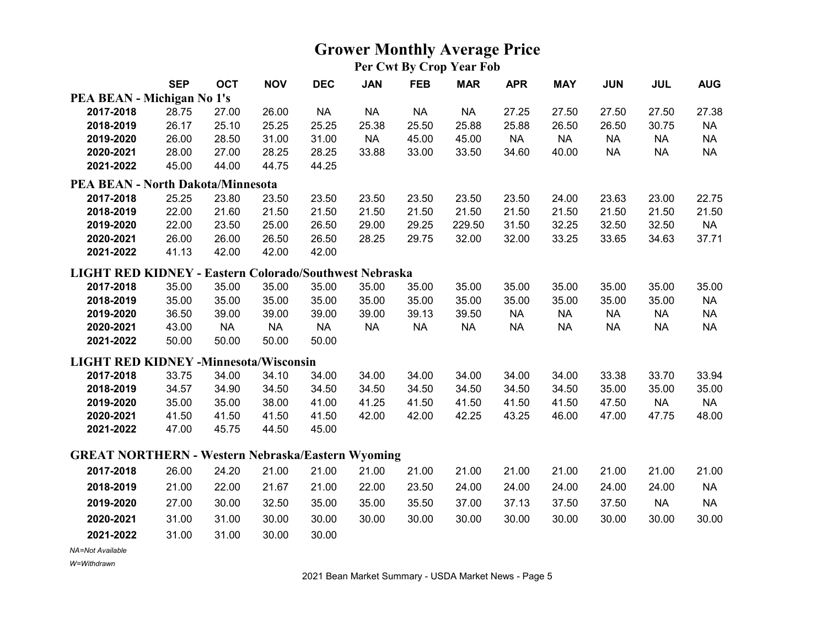## **Grower Monthly Average Price**

**Per Cwt By Crop Year Fob**

|                                                          | <b>SEP</b> | <b>OCT</b> | <b>NOV</b> | <b>DEC</b> | <b>JAN</b> | <b>FEB</b> | <b>MAR</b> | <b>APR</b> | <b>MAY</b> | <b>JUN</b> | <b>JUL</b> | <b>AUG</b> |
|----------------------------------------------------------|------------|------------|------------|------------|------------|------------|------------|------------|------------|------------|------------|------------|
| PEA BEAN - Michigan No 1's                               |            |            |            |            |            |            |            |            |            |            |            |            |
| 2017-2018                                                | 28.75      | 27.00      | 26.00      | <b>NA</b>  | <b>NA</b>  | <b>NA</b>  | <b>NA</b>  | 27.25      | 27.50      | 27.50      | 27.50      | 27.38      |
| 2018-2019                                                | 26.17      | 25.10      | 25.25      | 25.25      | 25.38      | 25.50      | 25.88      | 25.88      | 26.50      | 26.50      | 30.75      | <b>NA</b>  |
| 2019-2020                                                | 26.00      | 28.50      | 31.00      | 31.00      | <b>NA</b>  | 45.00      | 45.00      | <b>NA</b>  | <b>NA</b>  | <b>NA</b>  | <b>NA</b>  | <b>NA</b>  |
| 2020-2021                                                | 28.00      | 27.00      | 28.25      | 28.25      | 33.88      | 33.00      | 33.50      | 34.60      | 40.00      | <b>NA</b>  | <b>NA</b>  | <b>NA</b>  |
| 2021-2022                                                | 45.00      | 44.00      | 44.75      | 44.25      |            |            |            |            |            |            |            |            |
| <b>PEA BEAN - North Dakota/Minnesota</b>                 |            |            |            |            |            |            |            |            |            |            |            |            |
| 2017-2018                                                | 25.25      | 23.80      | 23.50      | 23.50      | 23.50      | 23.50      | 23.50      | 23.50      | 24.00      | 23.63      | 23.00      | 22.75      |
| 2018-2019                                                | 22.00      | 21.60      | 21.50      | 21.50      | 21.50      | 21.50      | 21.50      | 21.50      | 21.50      | 21.50      | 21.50      | 21.50      |
| 2019-2020                                                | 22.00      | 23.50      | 25.00      | 26.50      | 29.00      | 29.25      | 229.50     | 31.50      | 32.25      | 32.50      | 32.50      | <b>NA</b>  |
| 2020-2021                                                | 26.00      | 26.00      | 26.50      | 26.50      | 28.25      | 29.75      | 32.00      | 32.00      | 33.25      | 33.65      | 34.63      | 37.71      |
| 2021-2022                                                | 41.13      | 42.00      | 42.00      | 42.00      |            |            |            |            |            |            |            |            |
| LIGHT RED KIDNEY - Eastern Colorado/Southwest Nebraska   |            |            |            |            |            |            |            |            |            |            |            |            |
| 2017-2018                                                | 35.00      | 35.00      | 35.00      | 35.00      | 35.00      | 35.00      | 35.00      | 35.00      | 35.00      | 35.00      | 35.00      | 35.00      |
| 2018-2019                                                | 35.00      | 35.00      | 35.00      | 35.00      | 35.00      | 35.00      | 35.00      | 35.00      | 35.00      | 35.00      | 35.00      | <b>NA</b>  |
| 2019-2020                                                | 36.50      | 39.00      | 39.00      | 39.00      | 39.00      | 39.13      | 39.50      | <b>NA</b>  | <b>NA</b>  | <b>NA</b>  | <b>NA</b>  | <b>NA</b>  |
| 2020-2021                                                | 43.00      | <b>NA</b>  | <b>NA</b>  | <b>NA</b>  | <b>NA</b>  | <b>NA</b>  | <b>NA</b>  | <b>NA</b>  | <b>NA</b>  | <b>NA</b>  | <b>NA</b>  | <b>NA</b>  |
| 2021-2022                                                | 50.00      | 50.00      | 50.00      | 50.00      |            |            |            |            |            |            |            |            |
| <b>LIGHT RED KIDNEY -Minnesota/Wisconsin</b>             |            |            |            |            |            |            |            |            |            |            |            |            |
| 2017-2018                                                | 33.75      | 34.00      | 34.10      | 34.00      | 34.00      | 34.00      | 34.00      | 34.00      | 34.00      | 33.38      | 33.70      | 33.94      |
| 2018-2019                                                | 34.57      | 34.90      | 34.50      | 34.50      | 34.50      | 34.50      | 34.50      | 34.50      | 34.50      | 35.00      | 35.00      | 35.00      |
| 2019-2020                                                | 35.00      | 35.00      | 38.00      | 41.00      | 41.25      | 41.50      | 41.50      | 41.50      | 41.50      | 47.50      | <b>NA</b>  | <b>NA</b>  |
| 2020-2021                                                | 41.50      | 41.50      | 41.50      | 41.50      | 42.00      | 42.00      | 42.25      | 43.25      | 46.00      | 47.00      | 47.75      | 48.00      |
| 2021-2022                                                | 47.00      | 45.75      | 44.50      | 45.00      |            |            |            |            |            |            |            |            |
| <b>GREAT NORTHERN - Western Nebraska/Eastern Wyoming</b> |            |            |            |            |            |            |            |            |            |            |            |            |
| 2017-2018                                                | 26.00      | 24.20      | 21.00      | 21.00      | 21.00      | 21.00      | 21.00      | 21.00      | 21.00      | 21.00      | 21.00      | 21.00      |
| 2018-2019                                                | 21.00      | 22.00      | 21.67      | 21.00      | 22.00      | 23.50      | 24.00      | 24.00      | 24.00      | 24.00      | 24.00      | <b>NA</b>  |
| 2019-2020                                                | 27.00      | 30.00      | 32.50      | 35.00      | 35.00      | 35.50      | 37.00      | 37.13      | 37.50      | 37.50      | <b>NA</b>  | <b>NA</b>  |
| 2020-2021                                                | 31.00      | 31.00      | 30.00      | 30.00      | 30.00      | 30.00      | 30.00      | 30.00      | 30.00      | 30.00      | 30.00      | 30.00      |
| 2021-2022                                                | 31.00      | 31.00      | 30.00      | 30.00      |            |            |            |            |            |            |            |            |
|                                                          |            |            |            |            |            |            |            |            |            |            |            |            |

*NA=Not Available*

*W=Withdrawn*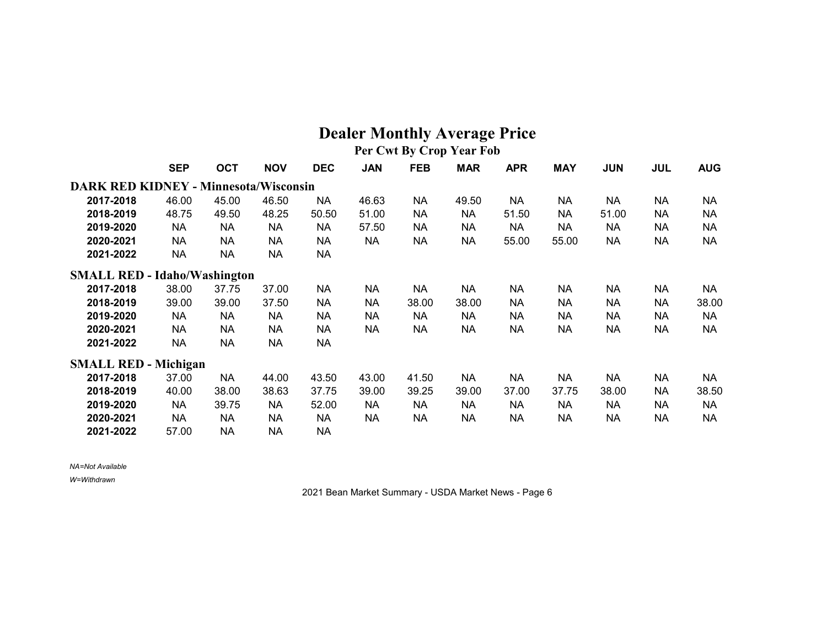### **Dealer Monthly Average Price**

**Per Cwt By Crop Year Fob**

|                                              | <b>SEP</b> | <b>OCT</b> | <b>NOV</b> | <b>DEC</b> | <b>JAN</b> | <b>FEB</b> | <b>MAR</b> | <b>APR</b> | <b>MAY</b> | <b>JUN</b> | <b>JUL</b> | <b>AUG</b> |
|----------------------------------------------|------------|------------|------------|------------|------------|------------|------------|------------|------------|------------|------------|------------|
| <b>DARK RED KIDNEY - Minnesota/Wisconsin</b> |            |            |            |            |            |            |            |            |            |            |            |            |
| 2017-2018                                    | 46.00      | 45.00      | 46.50      | <b>NA</b>  | 46.63      | <b>NA</b>  | 49.50      | <b>NA</b>  | <b>NA</b>  | NА         | <b>NA</b>  | <b>NA</b>  |
| 2018-2019                                    | 48.75      | 49.50      | 48.25      | 50.50      | 51.00      | <b>NA</b>  | NA         | 51.50      | NA         | 51.00      | NA         | <b>NA</b>  |
| 2019-2020                                    | <b>NA</b>  | <b>NA</b>  | <b>NA</b>  | <b>NA</b>  | 57.50      | <b>NA</b>  | <b>NA</b>  | <b>NA</b>  | <b>NA</b>  | <b>NA</b>  | <b>NA</b>  | <b>NA</b>  |
| 2020-2021                                    | <b>NA</b>  | <b>NA</b>  | <b>NA</b>  | <b>NA</b>  | <b>NA</b>  | <b>NA</b>  | <b>NA</b>  | 55.00      | 55.00      | NА         | <b>NA</b>  | <b>NA</b>  |
| 2021-2022                                    | <b>NA</b>  | <b>NA</b>  | <b>NA</b>  | <b>NA</b>  |            |            |            |            |            |            |            |            |
| <b>SMALL RED - Idaho/Washington</b>          |            |            |            |            |            |            |            |            |            |            |            |            |
| 2017-2018                                    | 38.00      | 37.75      | 37.00      | <b>NA</b>  | <b>NA</b>  | <b>NA</b>  | <b>NA</b>  | <b>NA</b>  | <b>NA</b>  | <b>NA</b>  | <b>NA</b>  | <b>NA</b>  |
| 2018-2019                                    | 39.00      | 39.00      | 37.50      | <b>NA</b>  | NA         | 38.00      | 38.00      | NA         | NA         | <b>NA</b>  | NA         | 38.00      |
| 2019-2020                                    | <b>NA</b>  | <b>NA</b>  | <b>NA</b>  | <b>NA</b>  | <b>NA</b>  | <b>NA</b>  | <b>NA</b>  | <b>NA</b>  | <b>NA</b>  | <b>NA</b>  | <b>NA</b>  | <b>NA</b>  |
| 2020-2021                                    | <b>NA</b>  | <b>NA</b>  | <b>NA</b>  | <b>NA</b>  | <b>NA</b>  | <b>NA</b>  | <b>NA</b>  | <b>NA</b>  | <b>NA</b>  | <b>NA</b>  | <b>NA</b>  | <b>NA</b>  |
| 2021-2022                                    | <b>NA</b>  | <b>NA</b>  | <b>NA</b>  | <b>NA</b>  |            |            |            |            |            |            |            |            |
| <b>SMALL RED - Michigan</b>                  |            |            |            |            |            |            |            |            |            |            |            |            |
| 2017-2018                                    | 37.00      | <b>NA</b>  | 44.00      | 43.50      | 43.00      | 41.50      | <b>NA</b>  | NA         | <b>NA</b>  | <b>NA</b>  | NA         | NA         |
| 2018-2019                                    | 40.00      | 38.00      | 38.63      | 37.75      | 39.00      | 39.25      | 39.00      | 37.00      | 37.75      | 38.00      | NA         | 38.50      |
| 2019-2020                                    | <b>NA</b>  | 39.75      | <b>NA</b>  | 52.00      | <b>NA</b>  | <b>NA</b>  | <b>NA</b>  | <b>NA</b>  | <b>NA</b>  | <b>NA</b>  | <b>NA</b>  | <b>NA</b>  |
| 2020-2021                                    | <b>NA</b>  | <b>NA</b>  | <b>NA</b>  | <b>NA</b>  | <b>NA</b>  | <b>NA</b>  | <b>NA</b>  | <b>NA</b>  | <b>NA</b>  | <b>NA</b>  | <b>NA</b>  | <b>NA</b>  |
| 2021-2022                                    | 57.00      | <b>NA</b>  | <b>NA</b>  | <b>NA</b>  |            |            |            |            |            |            |            |            |

*NA=Not Available*

*W=Withdrawn*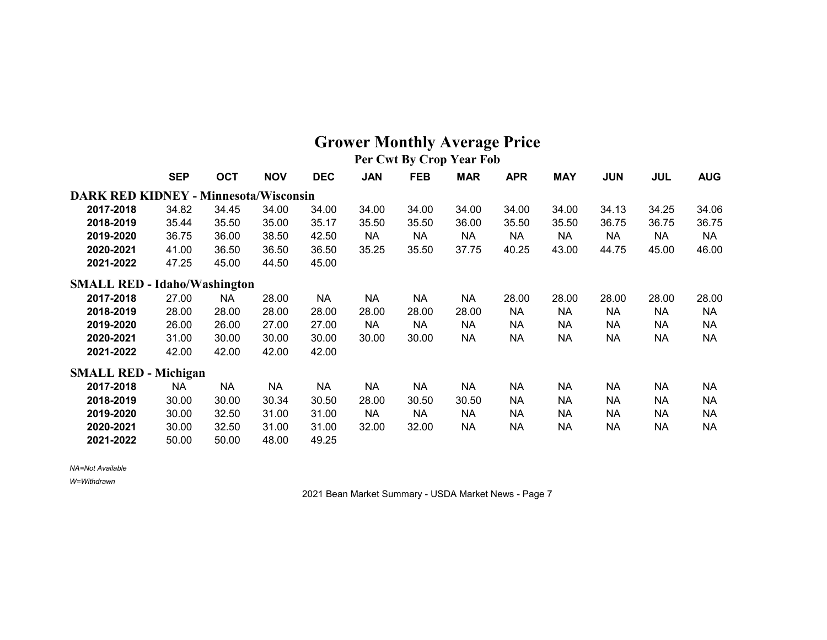|                                              |            |            |            |            |            |            | <b>Grower Monthly Average Price</b> |            |            |            |            |            |
|----------------------------------------------|------------|------------|------------|------------|------------|------------|-------------------------------------|------------|------------|------------|------------|------------|
|                                              |            |            |            |            |            |            | Per Cwt By Crop Year Fob            |            |            |            |            |            |
|                                              | <b>SEP</b> | <b>OCT</b> | <b>NOV</b> | <b>DEC</b> | <b>JAN</b> | <b>FEB</b> | <b>MAR</b>                          | <b>APR</b> | <b>MAY</b> | <b>JUN</b> | <b>JUL</b> | <b>AUG</b> |
| <b>DARK RED KIDNEY - Minnesota/Wisconsin</b> |            |            |            |            |            |            |                                     |            |            |            |            |            |
| 2017-2018                                    | 34.82      | 34.45      | 34.00      | 34.00      | 34.00      | 34.00      | 34.00                               | 34.00      | 34.00      | 34.13      | 34.25      | 34.06      |
| 2018-2019                                    | 35.44      | 35.50      | 35.00      | 35.17      | 35.50      | 35.50      | 36.00                               | 35.50      | 35.50      | 36.75      | 36.75      | 36.75      |
| 2019-2020                                    | 36.75      | 36.00      | 38.50      | 42.50      | <b>NA</b>  | <b>NA</b>  | <b>NA</b>                           | <b>NA</b>  | <b>NA</b>  | <b>NA</b>  | <b>NA</b>  | <b>NA</b>  |
| 2020-2021                                    | 41.00      | 36.50      | 36.50      | 36.50      | 35.25      | 35.50      | 37.75                               | 40.25      | 43.00      | 44.75      | 45.00      | 46.00      |
| 2021-2022                                    | 47.25      | 45.00      | 44.50      | 45.00      |            |            |                                     |            |            |            |            |            |
| <b>SMALL RED - Idaho/Washington</b>          |            |            |            |            |            |            |                                     |            |            |            |            |            |
| 2017-2018                                    | 27.00      | NA.        | 28.00      | NА         | <b>NA</b>  | NA.        | <b>NA</b>                           | 28.00      | 28.00      | 28.00      | 28.00      | 28.00      |
| 2018-2019                                    | 28.00      | 28.00      | 28.00      | 28.00      | 28.00      | 28.00      | 28.00                               | NA.        | NA.        | NA.        | NA.        | <b>NA</b>  |
| 2019-2020                                    | 26.00      | 26.00      | 27.00      | 27.00      | <b>NA</b>  | <b>NA</b>  | <b>NA</b>                           | <b>NA</b>  | <b>NA</b>  | NA.        | <b>NA</b>  | <b>NA</b>  |
| 2020-2021                                    | 31.00      | 30.00      | 30.00      | 30.00      | 30.00      | 30.00      | <b>NA</b>                           | <b>NA</b>  | <b>NA</b>  | NA.        | <b>NA</b>  | <b>NA</b>  |
| 2021-2022                                    | 42.00      | 42.00      | 42.00      | 42.00      |            |            |                                     |            |            |            |            |            |
| <b>SMALL RED - Michigan</b>                  |            |            |            |            |            |            |                                     |            |            |            |            |            |
| 2017-2018                                    | <b>NA</b>  | <b>NA</b>  | <b>NA</b>  | <b>NA</b>  | <b>NA</b>  | <b>NA</b>  | <b>NA</b>                           | <b>NA</b>  | <b>NA</b>  | <b>NA</b>  | <b>NA</b>  | <b>NA</b>  |
| 2018-2019                                    | 30.00      | 30.00      | 30.34      | 30.50      | 28.00      | 30.50      | 30.50                               | <b>NA</b>  | <b>NA</b>  | <b>NA</b>  | <b>NA</b>  | <b>NA</b>  |
| 2019-2020                                    | 30.00      | 32.50      | 31.00      | 31.00      | <b>NA</b>  | <b>NA</b>  | <b>NA</b>                           | NA         | NA.        | NA.        | <b>NA</b>  | <b>NA</b>  |
| 2020-2021                                    | 30.00      | 32.50      | 31.00      | 31.00      | 32.00      | 32.00      | <b>NA</b>                           | <b>NA</b>  | <b>NA</b>  | NA.        | <b>NA</b>  | <b>NA</b>  |
| 2021-2022                                    | 50.00      | 50.00      | 48.00      | 49.25      |            |            |                                     |            |            |            |            |            |

*NA=Not Available*

*W=Withdrawn*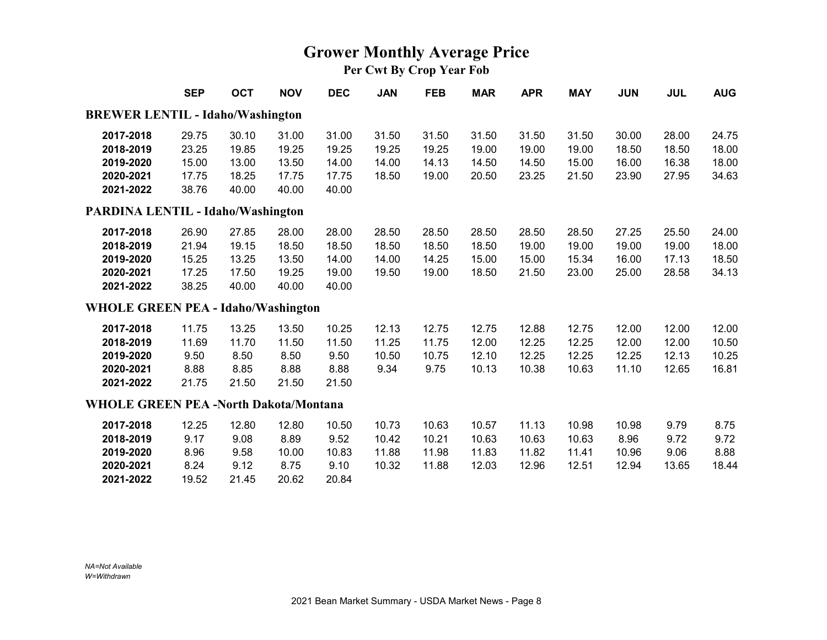### **Grower Monthly Average Price Per Cwt By Crop Year Fob**

|                                              | <b>SEP</b> | <b>OCT</b> | <b>NOV</b> | <b>DEC</b> | <b>JAN</b> | <b>FEB</b> | <b>MAR</b> | <b>APR</b> | <b>MAY</b> | <b>JUN</b> | <b>JUL</b> | <b>AUG</b> |
|----------------------------------------------|------------|------------|------------|------------|------------|------------|------------|------------|------------|------------|------------|------------|
| <b>BREWER LENTIL - Idaho/Washington</b>      |            |            |            |            |            |            |            |            |            |            |            |            |
| 2017-2018                                    | 29.75      | 30.10      | 31.00      | 31.00      | 31.50      | 31.50      | 31.50      | 31.50      | 31.50      | 30.00      | 28.00      | 24.75      |
| 2018-2019                                    | 23.25      | 19.85      | 19.25      | 19.25      | 19.25      | 19.25      | 19.00      | 19.00      | 19.00      | 18.50      | 18.50      | 18.00      |
| 2019-2020                                    | 15.00      | 13.00      | 13.50      | 14.00      | 14.00      | 14.13      | 14.50      | 14.50      | 15.00      | 16.00      | 16.38      | 18.00      |
| 2020-2021                                    | 17.75      | 18.25      | 17.75      | 17.75      | 18.50      | 19.00      | 20.50      | 23.25      | 21.50      | 23.90      | 27.95      | 34.63      |
| 2021-2022                                    | 38.76      | 40.00      | 40.00      | 40.00      |            |            |            |            |            |            |            |            |
| PARDINA LENTIL - Idaho/Washington            |            |            |            |            |            |            |            |            |            |            |            |            |
| 2017-2018                                    | 26.90      | 27.85      | 28.00      | 28.00      | 28.50      | 28.50      | 28.50      | 28.50      | 28.50      | 27.25      | 25.50      | 24.00      |
| 2018-2019                                    | 21.94      | 19.15      | 18.50      | 18.50      | 18.50      | 18.50      | 18.50      | 19.00      | 19.00      | 19.00      | 19.00      | 18.00      |
| 2019-2020                                    | 15.25      | 13.25      | 13.50      | 14.00      | 14.00      | 14.25      | 15.00      | 15.00      | 15.34      | 16.00      | 17.13      | 18.50      |
| 2020-2021                                    | 17.25      | 17.50      | 19.25      | 19.00      | 19.50      | 19.00      | 18.50      | 21.50      | 23.00      | 25.00      | 28.58      | 34.13      |
| 2021-2022                                    | 38.25      | 40.00      | 40.00      | 40.00      |            |            |            |            |            |            |            |            |
| <b>WHOLE GREEN PEA - Idaho/Washington</b>    |            |            |            |            |            |            |            |            |            |            |            |            |
| 2017-2018                                    | 11.75      | 13.25      | 13.50      | 10.25      | 12.13      | 12.75      | 12.75      | 12.88      | 12.75      | 12.00      | 12.00      | 12.00      |
| 2018-2019                                    | 11.69      | 11.70      | 11.50      | 11.50      | 11.25      | 11.75      | 12.00      | 12.25      | 12.25      | 12.00      | 12.00      | 10.50      |
| 2019-2020                                    | 9.50       | 8.50       | 8.50       | 9.50       | 10.50      | 10.75      | 12.10      | 12.25      | 12.25      | 12.25      | 12.13      | 10.25      |
| 2020-2021                                    | 8.88       | 8.85       | 8.88       | 8.88       | 9.34       | 9.75       | 10.13      | 10.38      | 10.63      | 11.10      | 12.65      | 16.81      |
| 2021-2022                                    | 21.75      | 21.50      | 21.50      | 21.50      |            |            |            |            |            |            |            |            |
| <b>WHOLE GREEN PEA -North Dakota/Montana</b> |            |            |            |            |            |            |            |            |            |            |            |            |
| 2017-2018                                    | 12.25      | 12.80      | 12.80      | 10.50      | 10.73      | 10.63      | 10.57      | 11.13      | 10.98      | 10.98      | 9.79       | 8.75       |
| 2018-2019                                    | 9.17       | 9.08       | 8.89       | 9.52       | 10.42      | 10.21      | 10.63      | 10.63      | 10.63      | 8.96       | 9.72       | 9.72       |
| 2019-2020                                    | 8.96       | 9.58       | 10.00      | 10.83      | 11.88      | 11.98      | 11.83      | 11.82      | 11.41      | 10.96      | 9.06       | 8.88       |
| 2020-2021                                    | 8.24       | 9.12       | 8.75       | 9.10       | 10.32      | 11.88      | 12.03      | 12.96      | 12.51      | 12.94      | 13.65      | 18.44      |
| 2021-2022                                    | 19.52      | 21.45      | 20.62      | 20.84      |            |            |            |            |            |            |            |            |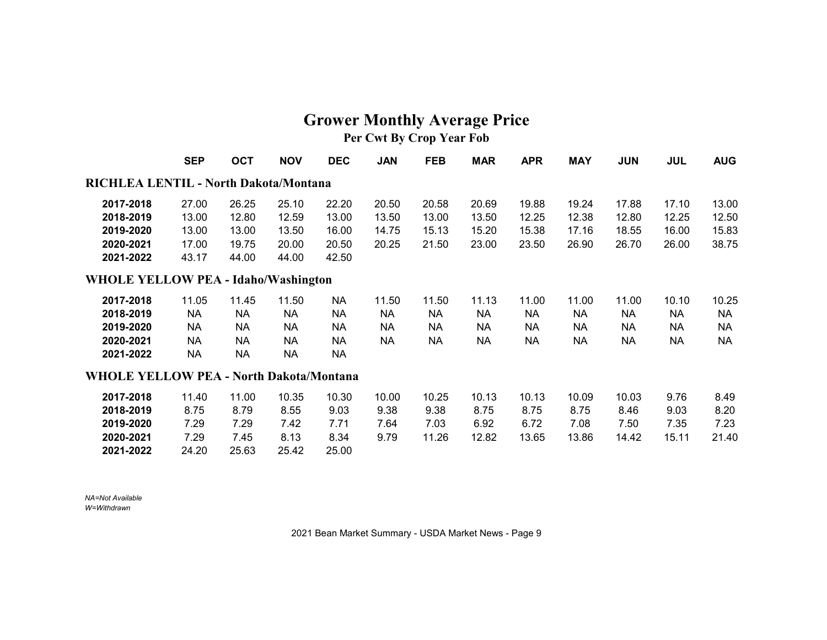## **Grower Monthly Average Price Per Cwt By Crop Year Fob**

|                                                | <b>SEP</b> | <b>OCT</b> | <b>NOV</b> | <b>DEC</b> | <b>JAN</b> | <b>FEB</b> | <b>MAR</b> | <b>APR</b> | <b>MAY</b> | <b>JUN</b> | <b>JUL</b> | <b>AUG</b> |
|------------------------------------------------|------------|------------|------------|------------|------------|------------|------------|------------|------------|------------|------------|------------|
| <b>RICHLEA LENTIL - North Dakota/Montana</b>   |            |            |            |            |            |            |            |            |            |            |            |            |
| 2017-2018                                      | 27.00      | 26.25      | 25.10      | 22.20      | 20.50      | 20.58      | 20.69      | 19.88      | 19.24      | 17.88      | 17.10      | 13.00      |
| 2018-2019                                      | 13.00      | 12.80      | 12.59      | 13.00      | 13.50      | 13.00      | 13.50      | 12.25      | 12.38      | 12.80      | 12.25      | 12.50      |
| 2019-2020                                      | 13.00      | 13.00      | 13.50      | 16.00      | 14.75      | 15.13      | 15.20      | 15.38      | 17.16      | 18.55      | 16.00      | 15.83      |
| 2020-2021                                      | 17.00      | 19.75      | 20.00      | 20.50      | 20.25      | 21.50      | 23.00      | 23.50      | 26.90      | 26.70      | 26.00      | 38.75      |
| 2021-2022                                      | 43.17      | 44.00      | 44.00      | 42.50      |            |            |            |            |            |            |            |            |
| <b>WHOLE YELLOW PEA - Idaho/Washington</b>     |            |            |            |            |            |            |            |            |            |            |            |            |
| 2017-2018                                      | 11.05      | 11.45      | 11.50      | <b>NA</b>  | 11.50      | 11.50      | 11.13      | 11.00      | 11.00      | 11.00      | 10.10      | 10.25      |
| 2018-2019                                      | <b>NA</b>  | <b>NA</b>  | <b>NA</b>  | <b>NA</b>  | <b>NA</b>  | <b>NA</b>  | <b>NA</b>  | <b>NA</b>  | <b>NA</b>  | <b>NA</b>  | <b>NA</b>  | <b>NA</b>  |
| 2019-2020                                      | <b>NA</b>  | NA.        | <b>NA</b>  | NA.        | <b>NA</b>  | NA.        | <b>NA</b>  | NA.        | NA.        | NA.        | NA.        | <b>NA</b>  |
| 2020-2021                                      | <b>NA</b>  | NA.        | <b>NA</b>  | <b>NA</b>  | <b>NA</b>  | <b>NA</b>  | <b>NA</b>  | <b>NA</b>  | <b>NA</b>  | NА         | <b>NA</b>  | <b>NA</b>  |
| 2021-2022                                      | <b>NA</b>  | <b>NA</b>  | <b>NA</b>  | <b>NA</b>  |            |            |            |            |            |            |            |            |
| <b>WHOLE YELLOW PEA - North Dakota/Montana</b> |            |            |            |            |            |            |            |            |            |            |            |            |
| 2017-2018                                      | 11.40      | 11.00      | 10.35      | 10.30      | 10.00      | 10.25      | 10.13      | 10.13      | 10.09      | 10.03      | 9.76       | 8.49       |
| 2018-2019                                      | 8.75       | 8.79       | 8.55       | 9.03       | 9.38       | 9.38       | 8.75       | 8.75       | 8.75       | 8.46       | 9.03       | 8.20       |
| 2019-2020                                      | 7.29       | 7.29       | 7.42       | 7.71       | 7.64       | 7.03       | 6.92       | 6.72       | 7.08       | 7.50       | 7.35       | 7.23       |
| 2020-2021                                      | 7.29       | 7.45       | 8.13       | 8.34       | 9.79       | 11.26      | 12.82      | 13.65      | 13.86      | 14.42      | 15.11      | 21.40      |
| 2021-2022                                      | 24.20      | 25.63      | 25.42      | 25.00      |            |            |            |            |            |            |            |            |

*NA=Not Available W=Withdrawn*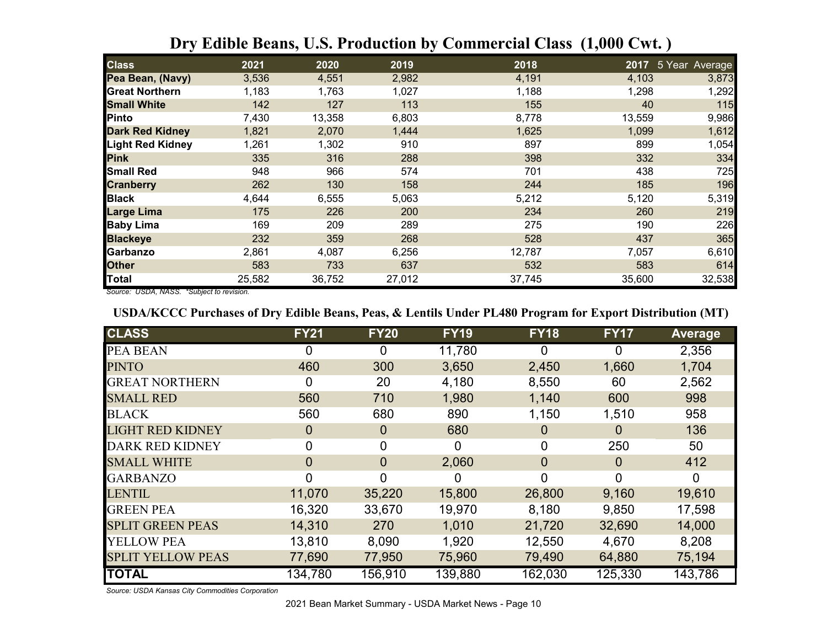| <b>Class</b>            | 2021   | 2020   | 2019   | 2018   | 2017   | 5 Year Average |
|-------------------------|--------|--------|--------|--------|--------|----------------|
| Pea Bean, (Navy)        | 3,536  | 4,551  | 2,982  | 4,191  | 4,103  | 3,873          |
| <b>Great Northern</b>   | 1,183  | 1,763  | 1,027  | 1,188  | 1,298  | 1,292          |
| <b>Small White</b>      | 142    | 127    | 113    | 155    | 40     | 115            |
| Pinto                   | 7,430  | 13,358 | 6,803  | 8,778  | 13,559 | 9,986          |
| <b>Dark Red Kidney</b>  | 1,821  | 2,070  | 1,444  | 1,625  | 1,099  | 1,612          |
| <b>Light Red Kidney</b> | 1,261  | 1,302  | 910    | 897    | 899    | 1,054          |
| <b>Pink</b>             | 335    | 316    | 288    | 398    | 332    | 334            |
| <b>Small Red</b>        | 948    | 966    | 574    | 701    | 438    | 725            |
| <b>Cranberry</b>        | 262    | 130    | 158    | 244    | 185    | 196            |
| <b>Black</b>            | 4,644  | 6,555  | 5,063  | 5,212  | 5,120  | 5,319          |
| <b>Large Lima</b>       | 175    | 226    | 200    | 234    | 260    | 219            |
| <b>Baby Lima</b>        | 169    | 209    | 289    | 275    | 190    | 226            |
| <b>Blackeye</b>         | 232    | 359    | 268    | 528    | 437    | 365            |
| Garbanzo                | 2,861  | 4,087  | 6,256  | 12,787 | 7,057  | 6,610          |
| <b>Other</b>            | 583    | 733    | 637    | 532    | 583    | 614            |
| <b>Total</b>            | 25,582 | 36,752 | 27,012 | 37,745 | 35,600 | 32,538         |

## **Dry Edible Beans, U.S. Production by Commercial Class (1,000 Cwt. )**

*Source: USDA, NASS. \*Subject to revision.*

#### **USDA/KCCC Purchases of Dry Edible Beans, Peas, & Lentils Under PL480 Program for Export Distribution (MT)**

| <b>CLASS</b>             | <b>FY21</b> | <b>FY20</b>    | <b>FY19</b> | <b>FY18</b>    | <b>FY17</b>    | <b>Average</b> |
|--------------------------|-------------|----------------|-------------|----------------|----------------|----------------|
| <b>PEA BEAN</b>          | 0           | 0              | 11,780      | 0              | 0              | 2,356          |
| <b>PINTO</b>             | 460         | 300            | 3,650       | 2,450          | 1,660          | 1,704          |
| <b>GREAT NORTHERN</b>    | 0           | 20             | 4,180       | 8,550          | 60             | 2,562          |
| <b>SMALL RED</b>         | 560         | 710            | 1,980       | 1,140          | 600            | 998            |
| <b>BLACK</b>             | 560         | 680            | 890         | 1,150          | 1,510          | 958            |
| <b>LIGHT RED KIDNEY</b>  | 0           | $\overline{0}$ | 680         | 0              | 0              | 136            |
| <b>DARK RED KIDNEY</b>   | 0           | 0              | 0           | 0              | 250            | 50             |
| <b>SMALL WHITE</b>       | 0           | $\overline{0}$ | 2,060       | $\overline{0}$ | $\overline{0}$ | 412            |
| <b>GARBANZO</b>          | 0           | 0              | 0           | 0              | 0              | $\Omega$       |
| <b>LENTIL</b>            | 11,070      | 35,220         | 15,800      | 26,800         | 9,160          | 19,610         |
| <b>GREEN PEA</b>         | 16,320      | 33,670         | 19,970      | 8,180          | 9,850          | 17,598         |
| <b>SPLIT GREEN PEAS</b>  | 14,310      | 270            | 1,010       | 21,720         | 32,690         | 14,000         |
| YELLOW PEA               | 13,810      | 8,090          | 1,920       | 12,550         | 4,670          | 8,208          |
| <b>SPLIT YELLOW PEAS</b> | 77,690      | 77,950         | 75,960      | 79,490         | 64,880         | 75,194         |
| <b>TOTAL</b>             | 134,780     | 156,910        | 139,880     | 162,030        | 125,330        | 143,786        |

*Source: USDA Kansas City Commodities Corporation*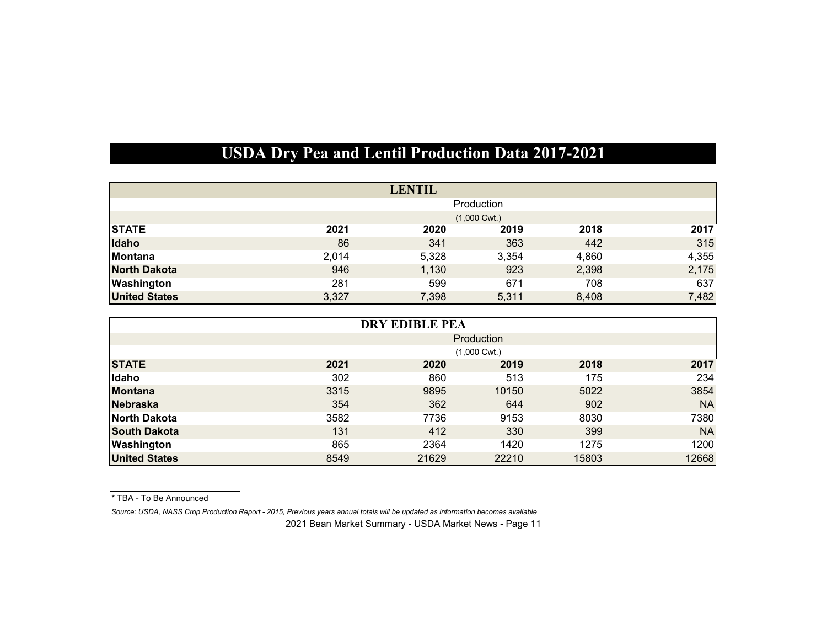# **USDA Dry Pea and Lentil Production Data 2017-2021**

|                      |                | <b>LENTIL</b> |       |       |       |  |  |
|----------------------|----------------|---------------|-------|-------|-------|--|--|
|                      | Production     |               |       |       |       |  |  |
|                      | $(1,000$ Cwt.) |               |       |       |       |  |  |
| <b>STATE</b>         | 2021           | 2020          | 2019  | 2018  | 2017  |  |  |
| Idaho                | 86             | 341           | 363   | 442   | 315   |  |  |
| Montana              | 2,014          | 5,328         | 3,354 | 4,860 | 4,355 |  |  |
| <b>North Dakota</b>  | 946            | 1,130         | 923   | 2,398 | 2,175 |  |  |
| Washington           | 281            | 599           | 671   | 708   | 637   |  |  |
| <b>United States</b> | 3,327          | 7,398         | 5,311 | 8,408 | 7,482 |  |  |

| <b>DRY EDIBLE PEA</b> |                |       |       |       |           |  |  |
|-----------------------|----------------|-------|-------|-------|-----------|--|--|
|                       | Production     |       |       |       |           |  |  |
|                       | $(1,000$ Cwt.) |       |       |       |           |  |  |
| <b>STATE</b>          | 2021           | 2020  | 2019  | 2018  | 2017      |  |  |
| Idaho                 | 302            | 860   | 513   | 175   | 234       |  |  |
| <b>Montana</b>        | 3315           | 9895  | 10150 | 5022  | 3854      |  |  |
| <b>Nebraska</b>       | 354            | 362   | 644   | 902   | <b>NA</b> |  |  |
| North Dakota          | 3582           | 7736  | 9153  | 8030  | 7380      |  |  |
| <b>South Dakota</b>   | 131            | 412   | 330   | 399   | <b>NA</b> |  |  |
| Washington            | 865            | 2364  | 1420  | 1275  | 1200      |  |  |
| <b>United States</b>  | 8549           | 21629 | 22210 | 15803 | 12668     |  |  |

\* TBA - To Be Announced

*Source: USDA, NASS Crop Production Report - 2015, Previous years annual totals will be updated as information becomes available*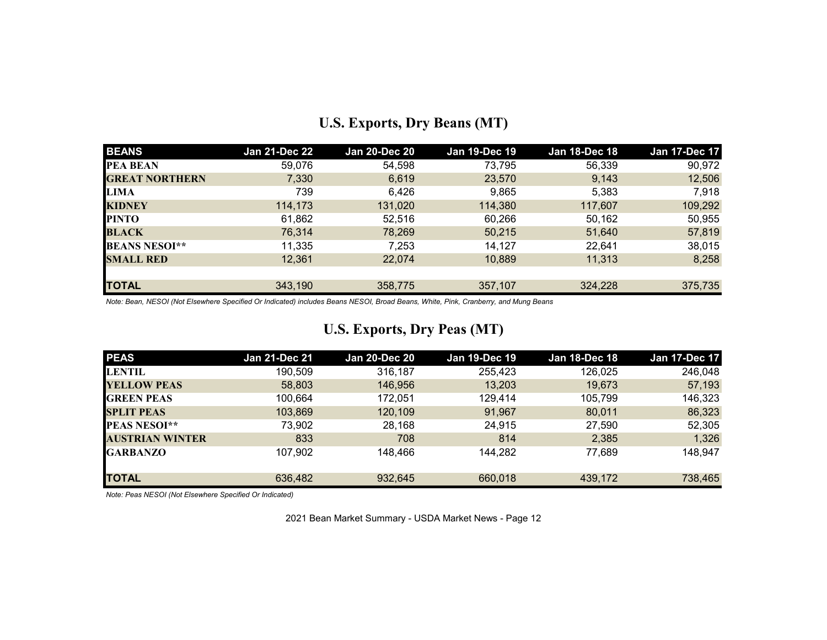| <b>BEANS</b>          | <b>Jan 21-Dec 22</b> | <b>Jan 20-Dec 20</b> | Jan 19-Dec 19 | <b>Jan 18-Dec 18</b> | <b>Jan 17-Dec 17</b> |
|-----------------------|----------------------|----------------------|---------------|----------------------|----------------------|
| <b>PEA BEAN</b>       | 59,076               | 54,598               | 73,795        | 56,339               | 90,972               |
| <b>GREAT NORTHERN</b> | 7,330                | 6,619                | 23,570        | 9,143                | 12,506               |
| LIMA                  | 739                  | 6,426                | 9,865         | 5,383                | 7,918                |
| <b>KIDNEY</b>         | 114,173              | 131,020              | 114,380       | 117,607              | 109,292              |
| <b>PINTO</b>          | 61,862               | 52,516               | 60,266        | 50,162               | 50,955               |
| <b>BLACK</b>          | 76,314               | 78,269               | 50,215        | 51,640               | 57,819               |
| <b>BEANS NESOI**</b>  | 11,335               | 7,253                | 14,127        | 22,641               | 38,015               |
| <b>SMALL RED</b>      | 12,361               | 22,074               | 10,889        | 11,313               | 8,258                |
|                       |                      |                      |               |                      |                      |
| <b>TOTAL</b>          | 343,190              | 358,775              | 357,107       | 324,228              | 375,735              |

### **U.S. Exports, Dry Beans (MT)**

*Note: Bean, NESOI (Not Elsewhere Specified Or Indicated) includes Beans NESOI, Broad Beans, White, Pink, Cranberry, and Mung Beans*

## **U.S. Exports, Dry Peas (MT)**

| <b>PEAS</b>            | <b>Jan 21-Dec 21</b> | <b>Jan 20-Dec 20</b> | Jan 19-Dec 19 | <b>Jan 18-Dec 18</b> | Jan 17-Dec 17 |
|------------------------|----------------------|----------------------|---------------|----------------------|---------------|
| <b>LENTIL</b>          | 190,509              | 316,187              | 255,423       | 126,025              | 246,048       |
| <b>YELLOW PEAS</b>     | 58,803               | 146,956              | 13,203        | 19,673               | 57,193        |
| <b>GREEN PEAS</b>      | 100.664              | 172.051              | 129.414       | 105,799              | 146,323       |
| <b>SPLIT PEAS</b>      | 103,869              | 120,109              | 91,967        | 80,011               | 86,323        |
| <b>PEAS NESOI**</b>    | 73,902               | 28,168               | 24,915        | 27,590               | 52,305        |
| <b>AUSTRIAN WINTER</b> | 833                  | 708                  | 814           | 2,385                | 1,326         |
| <b>GARBANZO</b>        | 107,902              | 148,466              | 144,282       | 77,689               | 148,947       |
| <b>TOTAL</b>           | 636,482              | 932,645              | 660,018       | 439,172              | 738,465       |

*Note: Peas NESOI (Not Elsewhere Specified Or Indicated)*